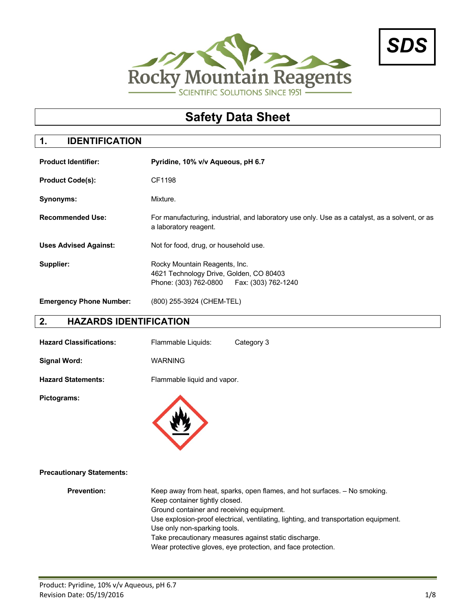



# **Safety Data Sheet**

## **1. IDENTIFICATION**

| <b>Product Identifier:</b>     | Pyridine, 10% v/v Aqueous, pH 6.7                                                                                       |  |  |  |
|--------------------------------|-------------------------------------------------------------------------------------------------------------------------|--|--|--|
| <b>Product Code(s):</b>        | CF1198                                                                                                                  |  |  |  |
| Synonyms:                      | Mixture.                                                                                                                |  |  |  |
| <b>Recommended Use:</b>        | For manufacturing, industrial, and laboratory use only. Use as a catalyst, as a solvent, or as<br>a laboratory reagent. |  |  |  |
| <b>Uses Advised Against:</b>   | Not for food, drug, or household use.                                                                                   |  |  |  |
| Supplier:                      | Rocky Mountain Reagents, Inc.<br>4621 Technology Drive, Golden, CO 80403<br>Phone: (303) 762-0800   Fax: (303) 762-1240 |  |  |  |
| <b>Emergency Phone Number:</b> | (800) 255-3924 (CHEM-TEL)                                                                                               |  |  |  |

## **2. HAZARDS IDENTIFICATION**

| <b>Hazard Classifications:</b> | Flammable Liquids:          | Category 3 |
|--------------------------------|-----------------------------|------------|
| Signal Word:                   | <b>WARNING</b>              |            |
| <b>Hazard Statements:</b>      | Flammable liquid and vapor. |            |

**Pictograms:**



#### **Precautionary Statements:**

| <b>Prevention:</b> | Keep away from heat, sparks, open flames, and hot surfaces. - No smoking.            |
|--------------------|--------------------------------------------------------------------------------------|
|                    | Keep container tightly closed.                                                       |
|                    | Ground container and receiving equipment.                                            |
|                    | Use explosion-proof electrical, ventilating, lighting, and transportation equipment. |
|                    | Use only non-sparking tools.                                                         |
|                    | Take precautionary measures against static discharge.                                |
|                    | Wear protective gloves, eye protection, and face protection.                         |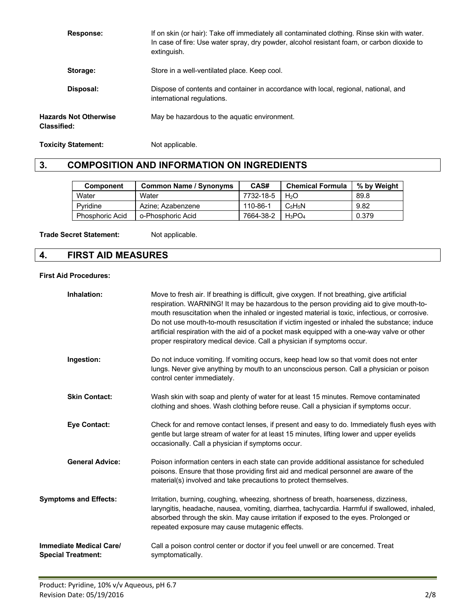| <b>Response:</b>                            | If on skin (or hair): Take off immediately all contaminated clothing. Rinse skin with water.<br>In case of fire: Use water spray, dry powder, alcohol resistant foam, or carbon dioxide to<br>extinguish. |
|---------------------------------------------|-----------------------------------------------------------------------------------------------------------------------------------------------------------------------------------------------------------|
| Storage:                                    | Store in a well-ventilated place. Keep cool.                                                                                                                                                              |
| Disposal:                                   | Dispose of contents and container in accordance with local, regional, national, and<br>international regulations.                                                                                         |
| <b>Hazards Not Otherwise</b><br>Classified: | May be hazardous to the aquatic environment.                                                                                                                                                              |

**Toxicity Statement:** Not applicable.

## **3. COMPOSITION AND INFORMATION ON INGREDIENTS**

| <b>Component</b>       | <b>Common Name / Synonyms</b> | CAS#      | <b>Chemical Formula</b> | % by Weight |
|------------------------|-------------------------------|-----------|-------------------------|-------------|
| Water                  | Water                         | 7732-18-5 | H2O                     | 89.8        |
| Pvridine               | Azine: Azabenzene             | 110-86-1  | $C_5H_5N$               | 9.82        |
| <b>Phosphoric Acid</b> | o-Phosphoric Acid             | 7664-38-2 | $H_3PO_4$               | 0.379       |

**Trade Secret Statement:** Not applicable.

## **4. FIRST AID MEASURES**

#### **First Aid Procedures:**

| Inhalation:                                          | Move to fresh air. If breathing is difficult, give oxygen. If not breathing, give artificial<br>respiration. WARNING! It may be hazardous to the person providing aid to give mouth-to-<br>mouth resuscitation when the inhaled or ingested material is toxic, infectious, or corrosive.<br>Do not use mouth-to-mouth resuscitation if victim ingested or inhaled the substance; induce<br>artificial respiration with the aid of a pocket mask equipped with a one-way valve or other<br>proper respiratory medical device. Call a physician if symptoms occur. |
|------------------------------------------------------|------------------------------------------------------------------------------------------------------------------------------------------------------------------------------------------------------------------------------------------------------------------------------------------------------------------------------------------------------------------------------------------------------------------------------------------------------------------------------------------------------------------------------------------------------------------|
| Ingestion:                                           | Do not induce vomiting. If vomiting occurs, keep head low so that vomit does not enter<br>lungs. Never give anything by mouth to an unconscious person. Call a physician or poison<br>control center immediately.                                                                                                                                                                                                                                                                                                                                                |
| <b>Skin Contact:</b>                                 | Wash skin with soap and plenty of water for at least 15 minutes. Remove contaminated<br>clothing and shoes. Wash clothing before reuse. Call a physician if symptoms occur.                                                                                                                                                                                                                                                                                                                                                                                      |
| <b>Eye Contact:</b>                                  | Check for and remove contact lenses, if present and easy to do. Immediately flush eyes with<br>gentle but large stream of water for at least 15 minutes, lifting lower and upper eyelids<br>occasionally. Call a physician if symptoms occur.                                                                                                                                                                                                                                                                                                                    |
| <b>General Advice:</b>                               | Poison information centers in each state can provide additional assistance for scheduled<br>poisons. Ensure that those providing first aid and medical personnel are aware of the<br>material(s) involved and take precautions to protect themselves.                                                                                                                                                                                                                                                                                                            |
| <b>Symptoms and Effects:</b>                         | Irritation, burning, coughing, wheezing, shortness of breath, hoarseness, dizziness,<br>laryngitis, headache, nausea, vomiting, diarrhea, tachycardia. Harmful if swallowed, inhaled,<br>absorbed through the skin. May cause irritation if exposed to the eyes. Prolonged or<br>repeated exposure may cause mutagenic effects.                                                                                                                                                                                                                                  |
| Immediate Medical Care/<br><b>Special Treatment:</b> | Call a poison control center or doctor if you feel unwell or are concerned. Treat<br>symptomatically.                                                                                                                                                                                                                                                                                                                                                                                                                                                            |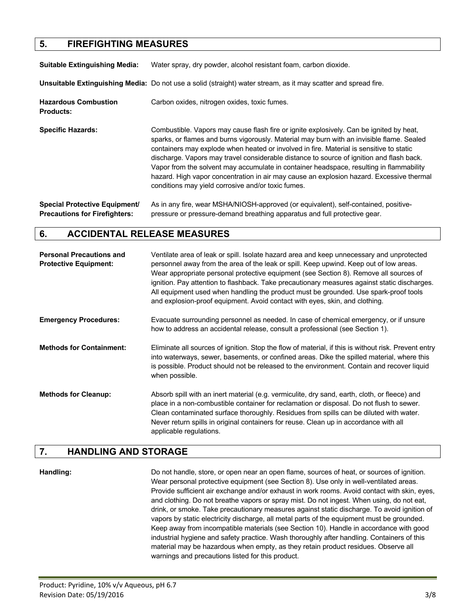## **5. FIREFIGHTING MEASURES**

| <b>Suitable Extinguishing Media:</b>            | Water spray, dry powder, alcohol resistant foam, carbon dioxide.                                                                                                                                                                                                                                                                                                                                                                                                                                                                                                                                                         |
|-------------------------------------------------|--------------------------------------------------------------------------------------------------------------------------------------------------------------------------------------------------------------------------------------------------------------------------------------------------------------------------------------------------------------------------------------------------------------------------------------------------------------------------------------------------------------------------------------------------------------------------------------------------------------------------|
|                                                 | Unsuitable Extinguishing Media: Do not use a solid (straight) water stream, as it may scatter and spread fire.                                                                                                                                                                                                                                                                                                                                                                                                                                                                                                           |
| <b>Hazardous Combustion</b><br><b>Products:</b> | Carbon oxides, nitrogen oxides, toxic fumes.                                                                                                                                                                                                                                                                                                                                                                                                                                                                                                                                                                             |
| <b>Specific Hazards:</b>                        | Combustible. Vapors may cause flash fire or ignite explosively. Can be ignited by heat,<br>sparks, or flames and burns vigorously. Material may burn with an invisible flame. Sealed<br>containers may explode when heated or involved in fire. Material is sensitive to static<br>discharge. Vapors may travel considerable distance to source of ignition and flash back.<br>Vapor from the solvent may accumulate in container headspace, resulting in flammability<br>hazard. High vapor concentration in air may cause an explosion hazard. Excessive thermal<br>conditions may yield corrosive and/or toxic fumes. |
| <b>Special Protective Fournment</b>             | As in any fire wear MSHA/NIOSH-annroved (or equivalent) self-contained positive-                                                                                                                                                                                                                                                                                                                                                                                                                                                                                                                                         |

wear MSHA/NIOSH-approved (or equivalent), self-contained, p **Precautions for Firefighters:** pressure or pressure-demand breathing apparatus and full protective gear.

#### **6. ACCIDENTAL RELEASE MEASURES**

| <b>Personal Precautions and</b><br><b>Protective Equipment:</b> | Ventilate area of leak or spill. Isolate hazard area and keep unnecessary and unprotected<br>personnel away from the area of the leak or spill. Keep upwind. Keep out of low areas.<br>Wear appropriate personal protective equipment (see Section 8). Remove all sources of<br>ignition. Pay attention to flashback. Take precautionary measures against static discharges.<br>All equipment used when handling the product must be grounded. Use spark-proof tools<br>and explosion-proof equipment. Avoid contact with eyes, skin, and clothing. |
|-----------------------------------------------------------------|-----------------------------------------------------------------------------------------------------------------------------------------------------------------------------------------------------------------------------------------------------------------------------------------------------------------------------------------------------------------------------------------------------------------------------------------------------------------------------------------------------------------------------------------------------|
| <b>Emergency Procedures:</b>                                    | Evacuate surrounding personnel as needed. In case of chemical emergency, or if unsure<br>how to address an accidental release, consult a professional (see Section 1).                                                                                                                                                                                                                                                                                                                                                                              |
| <b>Methods for Containment:</b>                                 | Eliminate all sources of ignition. Stop the flow of material, if this is without risk. Prevent entry<br>into waterways, sewer, basements, or confined areas. Dike the spilled material, where this<br>is possible. Product should not be released to the environment. Contain and recover liquid<br>when possible.                                                                                                                                                                                                                                  |
| <b>Methods for Cleanup:</b>                                     | Absorb spill with an inert material (e.g. vermiculite, dry sand, earth, cloth, or fleece) and<br>place in a non-combustible container for reclamation or disposal. Do not flush to sewer.<br>Clean contaminated surface thoroughly. Residues from spills can be diluted with water.<br>Never return spills in original containers for reuse. Clean up in accordance with all<br>applicable regulations.                                                                                                                                             |

#### **7. HANDLING AND STORAGE**

**Handling:** Do not handle, store, or open near an open flame, sources of heat, or sources of ignition. Wear personal protective equipment (see Section 8). Use only in well-ventilated areas. Provide sufficient air exchange and/or exhaust in work rooms. Avoid contact with skin, eyes, and clothing. Do not breathe vapors or spray mist. Do not ingest. When using, do not eat, drink, or smoke. Take precautionary measures against static discharge. To avoid ignition of vapors by static electricity discharge, all metal parts of the equipment must be grounded. Keep away from incompatible materials (see Section 10). Handle in accordance with good industrial hygiene and safety practice. Wash thoroughly after handling. Containers of this material may be hazardous when empty, as they retain product residues. Observe all warnings and precautions listed for this product.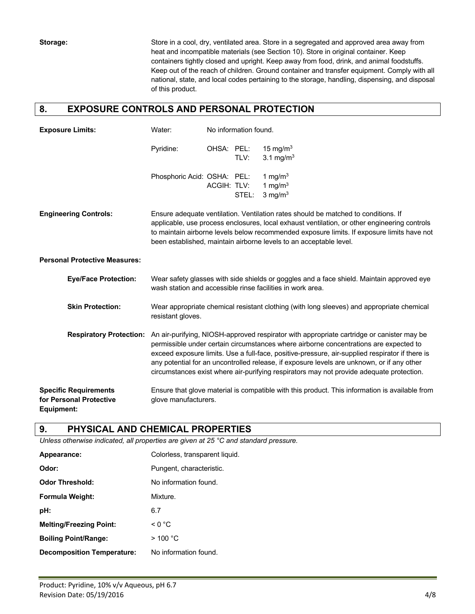**Storage:** Store in a cool, dry, ventilated area. Store in a segregated and approved area away from heat and incompatible materials (see Section 10). Store in original container. Keep containers tightly closed and upright. Keep away from food, drink, and animal foodstuffs. Keep out of the reach of children. Ground container and transfer equipment. Comply with all national, state, and local codes pertaining to the storage, handling, dispensing, and disposal of this product.

#### **8. EXPOSURE CONTROLS AND PERSONAL PROTECTION**

| <b>Exposure Limits:</b>                                               | Water:                                                                                                                                                                                                                                                                                                                                                                                                                                                                          | No information found. |       |                                                                                                                                                                                                                                                                                                                                                        |
|-----------------------------------------------------------------------|---------------------------------------------------------------------------------------------------------------------------------------------------------------------------------------------------------------------------------------------------------------------------------------------------------------------------------------------------------------------------------------------------------------------------------------------------------------------------------|-----------------------|-------|--------------------------------------------------------------------------------------------------------------------------------------------------------------------------------------------------------------------------------------------------------------------------------------------------------------------------------------------------------|
|                                                                       | Pyridine:                                                                                                                                                                                                                                                                                                                                                                                                                                                                       | OHSA: PEL:            | TLV:  | 15 mg/m $3$<br>3.1 mg/m <sup>3</sup>                                                                                                                                                                                                                                                                                                                   |
|                                                                       | Phosphoric Acid: OSHA: PEL:                                                                                                                                                                                                                                                                                                                                                                                                                                                     | ACGIH: TLV:           | STEL: | 1 mg/m $3$<br>1 mg/m $3$<br>3 mg/ $m3$                                                                                                                                                                                                                                                                                                                 |
| <b>Engineering Controls:</b>                                          |                                                                                                                                                                                                                                                                                                                                                                                                                                                                                 |                       |       | Ensure adequate ventilation. Ventilation rates should be matched to conditions. If<br>applicable, use process enclosures, local exhaust ventilation, or other engineering controls<br>to maintain airborne levels below recommended exposure limits. If exposure limits have not<br>been established, maintain airborne levels to an acceptable level. |
| <b>Personal Protective Measures:</b>                                  |                                                                                                                                                                                                                                                                                                                                                                                                                                                                                 |                       |       |                                                                                                                                                                                                                                                                                                                                                        |
| <b>Eye/Face Protection:</b>                                           |                                                                                                                                                                                                                                                                                                                                                                                                                                                                                 |                       |       | Wear safety glasses with side shields or goggles and a face shield. Maintain approved eye<br>wash station and accessible rinse facilities in work area.                                                                                                                                                                                                |
| <b>Skin Protection:</b>                                               | Wear appropriate chemical resistant clothing (with long sleeves) and appropriate chemical<br>resistant gloves.                                                                                                                                                                                                                                                                                                                                                                  |                       |       |                                                                                                                                                                                                                                                                                                                                                        |
| <b>Respiratory Protection:</b>                                        | An air-purifying, NIOSH-approved respirator with appropriate cartridge or canister may be<br>permissible under certain circumstances where airborne concentrations are expected to<br>exceed exposure limits. Use a full-face, positive-pressure, air-supplied respirator if there is<br>any potential for an uncontrolled release, if exposure levels are unknown, or if any other<br>circumstances exist where air-purifying respirators may not provide adequate protection. |                       |       |                                                                                                                                                                                                                                                                                                                                                        |
| <b>Specific Requirements</b><br>for Personal Protective<br>Equipment: | glove manufacturers.                                                                                                                                                                                                                                                                                                                                                                                                                                                            |                       |       | Ensure that glove material is compatible with this product. This information is available from                                                                                                                                                                                                                                                         |

#### **9. PHYSICAL AND CHEMICAL PROPERTIES**

*Unless otherwise indicated, all properties are given at 25 °C and standard pressure.*

| Appearance:                       | Colorless, transparent liquid. |
|-----------------------------------|--------------------------------|
| Odor:                             | Pungent, characteristic.       |
| <b>Odor Threshold:</b>            | No information found.          |
| <b>Formula Weight:</b>            | Mixture.                       |
| pH:                               | 6.7                            |
| <b>Melting/Freezing Point:</b>    | $\leq 0$ °C                    |
| <b>Boiling Point/Range:</b>       | $>$ 100 °C                     |
| <b>Decomposition Temperature:</b> | No information found.          |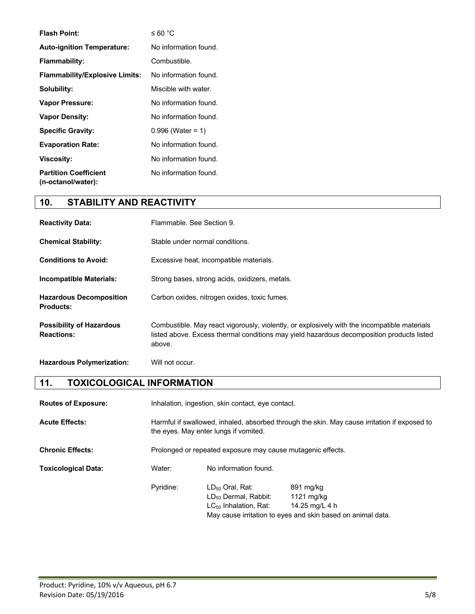| <b>Flash Point:</b>                                | $\leq 60$ °C          |
|----------------------------------------------------|-----------------------|
| <b>Auto-ignition Temperature:</b>                  | No information found. |
| Flammability:                                      | Combustible.          |
| <b>Flammability/Explosive Limits:</b>              | No information found. |
| Solubility:                                        | Miscible with water.  |
| <b>Vapor Pressure:</b>                             | No information found. |
| <b>Vapor Density:</b>                              | No information found. |
| <b>Specific Gravity:</b>                           | $0.996$ (Water = 1)   |
| <b>Evaporation Rate:</b>                           | No information found. |
| <b>Viscosity:</b>                                  | No information found. |
| <b>Partition Coefficient</b><br>(n-octanol/water): | No information found. |

## **10. STABILITY AND REACTIVITY**

| <b>Reactivity Data:</b>                              | Flammable, See Section 9.                                                                                                                                                                           |
|------------------------------------------------------|-----------------------------------------------------------------------------------------------------------------------------------------------------------------------------------------------------|
| <b>Chemical Stability:</b>                           | Stable under normal conditions.                                                                                                                                                                     |
| <b>Conditions to Avoid:</b>                          | Excessive heat, incompatible materials.                                                                                                                                                             |
| <b>Incompatible Materials:</b>                       | Strong bases, strong acids, oxidizers, metals.                                                                                                                                                      |
| <b>Hazardous Decomposition</b><br><b>Products:</b>   | Carbon oxides, nitrogen oxides, toxic fumes.                                                                                                                                                        |
| <b>Possibility of Hazardous</b><br><b>Reactions:</b> | Combustible. May react vigorously, violently, or explosively with the incompatible materials<br>listed above. Excess thermal conditions may yield hazardous decomposition products listed<br>above. |
| <b>Hazardous Polymerization:</b>                     | Will not occur.                                                                                                                                                                                     |

## **11. TOXICOLOGICAL INFORMATION**

| <b>Routes of Exposure:</b> |           | Inhalation, ingestion, skin contact, eye contact.                                                                                     |                                                                                                          |  |
|----------------------------|-----------|---------------------------------------------------------------------------------------------------------------------------------------|----------------------------------------------------------------------------------------------------------|--|
| <b>Acute Effects:</b>      |           | Harmful if swallowed, inhaled, absorbed through the skin. May cause irritation if exposed to<br>the eyes. May enter lungs if vomited. |                                                                                                          |  |
| <b>Chronic Effects:</b>    |           | Prolonged or repeated exposure may cause mutagenic effects.                                                                           |                                                                                                          |  |
| <b>Toxicological Data:</b> | Water:    | No information found.                                                                                                                 |                                                                                                          |  |
|                            | Pyridine: | $LD_{50}$ Oral, Rat:<br>LD <sub>50</sub> Dermal, Rabbit:<br>$LC_{50}$ Inhalation, Rat:                                                | 891 mg/kg<br>1121 mg/kg<br>14.25 mg/L 4 h<br>May cause irritation to eyes and skin based on animal data. |  |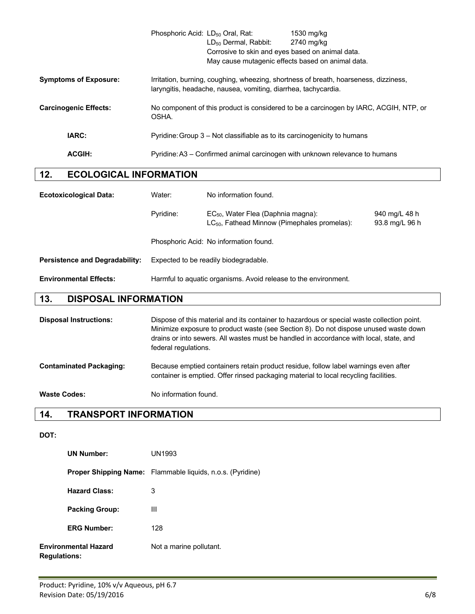|                              | Phosphoric Acid: LD <sub>50</sub> Oral, Rat: | $LD_{50}$ Dermal, Rabbit:<br>Corrosive to skin and eyes based on animal data.<br>May cause mutagenic effects based on animal data. | 1530 mg/kg<br>2740 mg/kg                                                              |
|------------------------------|----------------------------------------------|------------------------------------------------------------------------------------------------------------------------------------|---------------------------------------------------------------------------------------|
| <b>Symptoms of Exposure:</b> |                                              | laryngitis, headache, nausea, vomiting, diarrhea, tachycardia.                                                                     | Irritation, burning, coughing, wheezing, shortness of breath, hoarseness, dizziness,  |
| <b>Carcinogenic Effects:</b> | OSHA.                                        |                                                                                                                                    | No component of this product is considered to be a carcinogen by IARC, ACGIH, NTP, or |
| IARC:                        |                                              | Pyridine: Group 3 – Not classifiable as to its carcinogenicity to humans                                                           |                                                                                       |
| <b>ACGIH:</b>                |                                              |                                                                                                                                    | Pyridine: A3 – Confirmed animal carcinogen with unknown relevance to humans           |

## **12. ECOLOGICAL INFORMATION**

| <b>Ecotoxicological Data:</b>         | Water:                                                          | No information found.                                                                               |                                 |
|---------------------------------------|-----------------------------------------------------------------|-----------------------------------------------------------------------------------------------------|---------------------------------|
|                                       | Pyridine:                                                       | EC <sub>50</sub> , Water Flea (Daphnia magna):<br>$LC_{50}$ , Fathead Minnow (Pimephales promelas): | 940 mg/L 48 h<br>93.8 mg/L 96 h |
|                                       |                                                                 | Phosphoric Acid: No information found.                                                              |                                 |
| <b>Persistence and Degradability:</b> | Expected to be readily biodegradable.                           |                                                                                                     |                                 |
| <b>Environmental Effects:</b>         | Harmful to aquatic organisms. Avoid release to the environment. |                                                                                                     |                                 |

## **13. DISPOSAL INFORMATION**

| <b>Disposal Instructions:</b>  | Dispose of this material and its container to hazardous or special waste collection point.<br>Minimize exposure to product waste (see Section 8). Do not dispose unused waste down<br>drains or into sewers. All wastes must be handled in accordance with local, state, and<br>federal regulations. |
|--------------------------------|------------------------------------------------------------------------------------------------------------------------------------------------------------------------------------------------------------------------------------------------------------------------------------------------------|
| <b>Contaminated Packaging:</b> | Because emptied containers retain product residue, follow label warnings even after<br>container is emptied. Offer rinsed packaging material to local recycling facilities.                                                                                                                          |
| <b>Waste Codes:</b>            | No information found.                                                                                                                                                                                                                                                                                |

## **14. TRANSPORT INFORMATION**

#### **DOT:**

| <b>UN Number:</b>                                  | UN1993                                                            |
|----------------------------------------------------|-------------------------------------------------------------------|
|                                                    | <b>Proper Shipping Name:</b> Flammable liquids, n.o.s. (Pyridine) |
| <b>Hazard Class:</b>                               | 3                                                                 |
| <b>Packing Group:</b>                              | Ш                                                                 |
| <b>ERG Number:</b>                                 | 128                                                               |
| <b>Environmental Hazard</b><br><b>Regulations:</b> | Not a marine pollutant.                                           |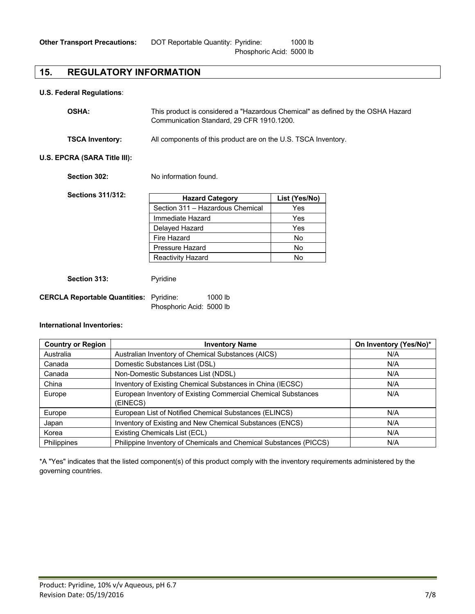#### **15. REGULATORY INFORMATION**

#### **U.S. Federal Regulations**:

| <b>OSHA:</b>           | This product is considered a "Hazardous Chemical" as defined by the OSHA Hazard<br>Communication Standard, 29 CFR 1910.1200. |
|------------------------|------------------------------------------------------------------------------------------------------------------------------|
| <b>TSCA Inventory:</b> | All components of this product are on the U.S. TSCA Inventory.                                                               |

#### **U.S. EPCRA (SARA Title III):**

**Section 302:** No information found.

| <b>Sections 311/312:</b> | <b>Hazard Category</b>           | List (Yes/No) |
|--------------------------|----------------------------------|---------------|
|                          | Section 311 - Hazardous Chemical | Yes           |
|                          | Immediate Hazard                 | Yes           |
|                          | Delayed Hazard                   | Yes           |
|                          | Fire Hazard                      | No            |
|                          | Pressure Hazard                  | No            |
|                          | <b>Reactivity Hazard</b>         | No            |

Section 313: Pyridine

| <b>CERCLA Reportable Quantities:</b> Pyridine: |                          | $1000$ lb |
|------------------------------------------------|--------------------------|-----------|
|                                                | Phosphoric Acid: 5000 lb |           |

#### **International Inventories:**

| <b>Country or Region</b> | <b>Inventory Name</b>                                             | On Inventory (Yes/No)* |
|--------------------------|-------------------------------------------------------------------|------------------------|
| Australia                | Australian Inventory of Chemical Substances (AICS)                | N/A                    |
| Canada                   | Domestic Substances List (DSL)                                    | N/A                    |
| Canada                   | Non-Domestic Substances List (NDSL)                               | N/A                    |
| China                    | Inventory of Existing Chemical Substances in China (IECSC)        | N/A                    |
| Europe                   | European Inventory of Existing Commercial Chemical Substances     | N/A                    |
|                          | (EINECS)                                                          |                        |
| Europe                   | European List of Notified Chemical Substances (ELINCS)            | N/A                    |
| Japan                    | Inventory of Existing and New Chemical Substances (ENCS)          | N/A                    |
| Korea                    | Existing Chemicals List (ECL)                                     | N/A                    |
| Philippines              | Philippine Inventory of Chemicals and Chemical Substances (PICCS) | N/A                    |

\*A "Yes" indicates that the listed component(s) of this product comply with the inventory requirements administered by the governing countries.